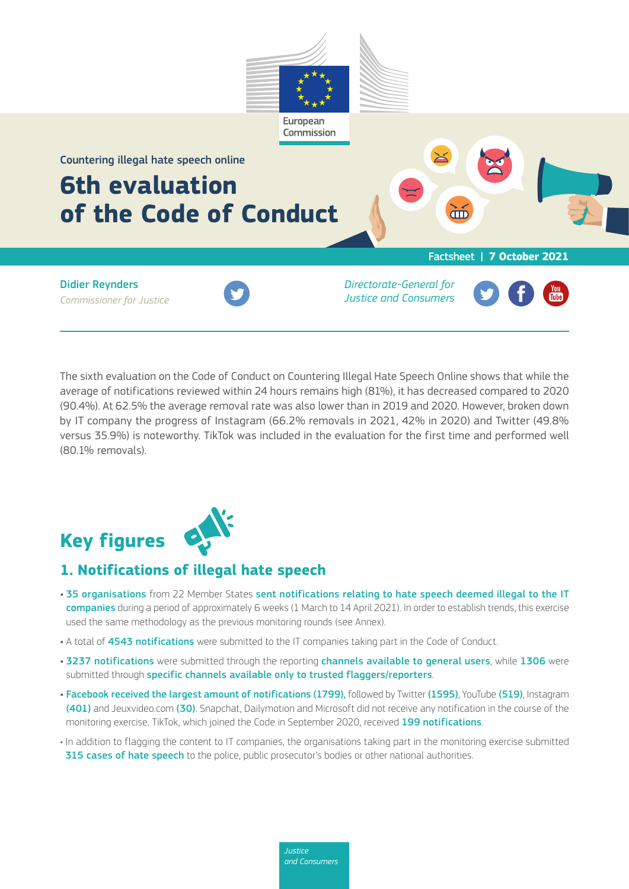

The sixth evaluation on the Code of Conduct on Countering Illegal Hate Speech Online shows that while the average of notifications reviewed within 24 hours remains high (81%), it has decreased compared to 2020 (90.4%). At 62.5% the average removal rate was also lower than in 2019 and 2020. However, broken down by IT company the progress of Instagram (66.2% removals in 2021, 42% in 2020) and Twitter (49.8% versus 35.9%) is noteworthy. TikTok was included in the evaluation for the first time and performed well (80.1% removals).

# **Key figures**

## **1. Notifications of illegal hate speech**

- 35 organisations from 22 Member States sent notifications relating to hate speech deemed illegal to the IT companies during a period of approximately 6 weeks (1 March to 14 April 2021). In order to establish trends, this exercise used the same methodology as the previous monitoring rounds (see Annex).
- A total of 4543 notifications were submitted to the IT companies taking part in the Code of Conduct.
- 3237 notifications were submitted through the reporting channels available to general users, while 1306 were submitted through specific channels available only to trusted flaggers/reporters.
- Facebook received the largest amount of notifications (1799), followed by Twitter (1595), YouTube (519), Instagram (401) and Jeuxvideo.com (30). Snapchat, Dailymotion and Microsoft did not receive any notification in the course of the monitoring exercise. TikTok, which joined the Code in September 2020, received 199 notifications.
- In addition to flagging the content to IT companies, the organisations taking part in the monitoring exercise submitted 315 cases of hate speech to the police, public prosecutor's bodies or other national authorities.

*Justice and Consumers*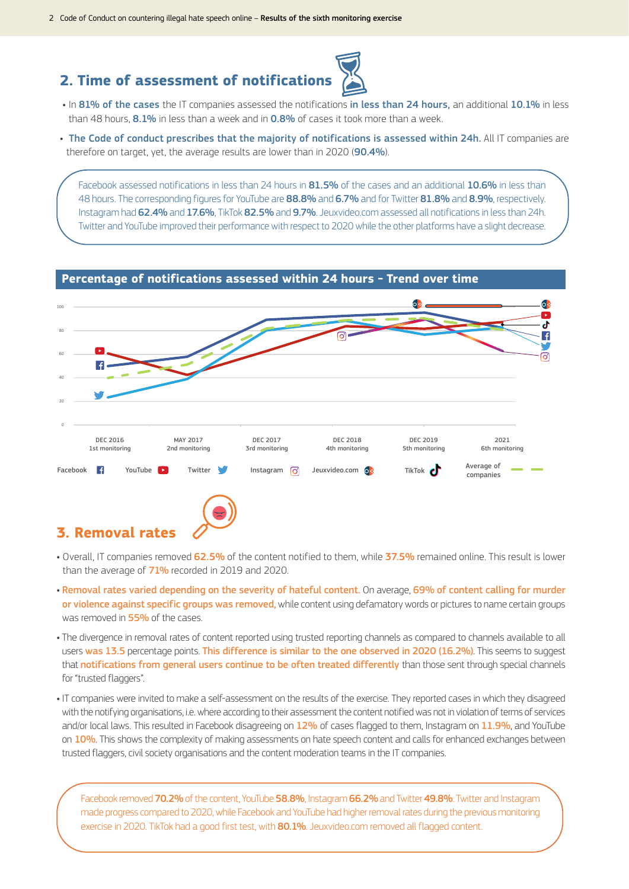## **2. Time of assessment of notification**



• In 81% of the cases the IT companies assessed the notifications in less than 24 hours, an additional 10.1% in less than 48 hours,  $8.1\%$  in less than a week and in  $0.8\%$  of cases it took more than a week.

• The Code of conduct prescribes that the majority of notifications is assessed within 24h. All IT companies are therefore on target, yet, the average results are lower than in 2020 (90.4%).

Facebook assessed notifications in less than 24 hours in 81.5% of the cases and an additional 10.6% in less than 48 hours. The corresponding figures for YouTube are 88.8% and 6.7% and for Twitter 81.8% and 8.9%, respectively. Instagram had 62.4% and 17.6%, TikTok 82.5% and 9.7%. Jeuxvideo.com assessed all notifications in less than 24h. Twitter and YouTube improved their performance with respect to 2020 while the other platforms have a slight decrease.

#### **Percentage of notifications assessed within 24 hours - Trend over time**



### **3. Removal rates**

- Overall, IT companies removed 62.5% of the content notified to them, while 37.5% remained online. This result is lower than the average of 71% recorded in 2019 and 2020.
- Removal rates varied depending on the severity of hateful content. On average, 69% of content calling for murder or violence against specific groups was removed, while content using defamatory words or pictures to name certain groups was removed in 55% of the cases.
- The divergence in removal rates of content reported using trusted reporting channels as compared to channels available to all users was 13.5 percentage points. This difference is similar to the one observed in 2020 (16.2%). This seems to suggest that notifications from general users continue to be often treated differently than those sent through special channels for "trusted flaggers".
- IT companies were invited to make a self-assessment on the results of the exercise. They reported cases in which they disagreed with the notifying organisations, i.e. where according to their assessment the content notified was not in violation of terms of services and/or local laws. This resulted in Facebook disagreeing on 12% of cases flagged to them, Instagram on 11.9%, and YouTube on 10%. This shows the complexity of making assessments on hate speech content and calls for enhanced exchanges between trusted flaggers, civil society organisations and the content moderation teams in the IT companies.

Facebook removed 70.2% of the content, YouTube 58.8%, Instagram 66.2% and Twitter 49.8%. Twitter and Instagram made progress compared to 2020, while Facebook and YouTube had higher removal rates during the previous monitoring exercise in 2020. TikTok had a good first test, with 80.1%. Jeuxvideo.com removed all flagged content.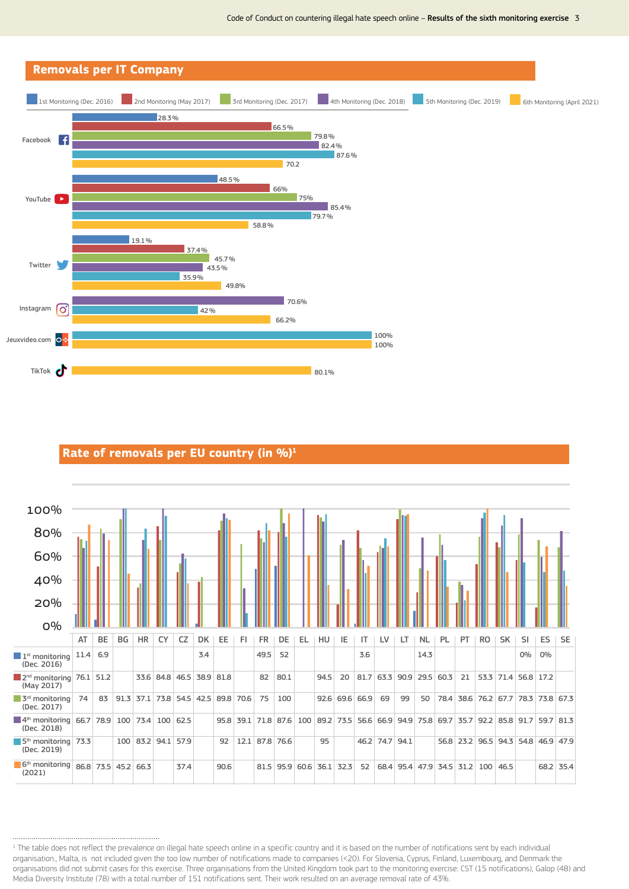

# Rate of removals per EU country (in %)<sup>1</sup>



<sup>&</sup>lt;sup>1</sup> The table does not reflect the prevalence on illegal hate speech online in a specific country and it is based on the number of notifications sent by each individual organisation., Malta, is not included given the too low number of notifications made to companies (<20). For Slovenia, Cyprus, Finland, Luxembourg, and Denmark the organisations did not submit cases for this exercise. Three organisations from the United Kingdom took part to the monitoring exercise: CST (15 notifications), Galop (48) and Media Diversity Institute (78) with a total number of 151 notifications sent. Their work resulted on an average removal rate of 43%.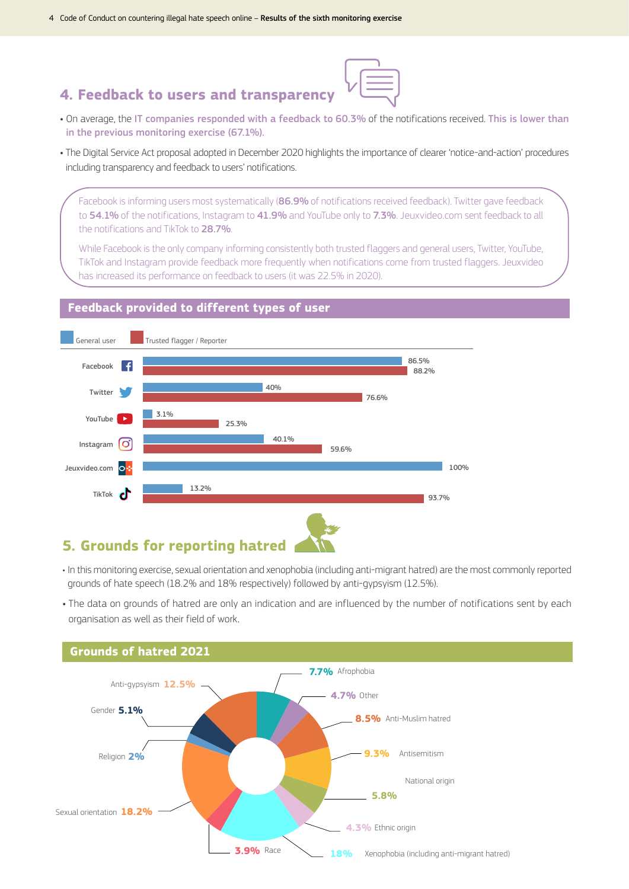## **4. Feedback to users and transparency**



- On average, the IT companies responded with a feedback to 60.3% of the notifications received. This is lower than in the previous monitoring exercise (67.1%).
- The Digital Service Act proposal adopted in December 2020 highlights the importance of clearer 'notice-and-action' procedures including transparency and feedback to users' notifications.

Facebook is informing users most systematically (86.9% of notifications received feedback). Twitter gave feedback to 54.1% of the notifications, Instagram to 41.9% and YouTube only to 7.3%. Jeuxvideo.com sent feedback to all the notifications and TikTok to 28.7%.

While Facebook is the only company informing consistently both trusted flaggers and general users, Twitter, YouTube, TikTok and Instagram provide feedback more frequently when notifications come from trusted flaggers. Jeuxvideo has increased its performance on feedback to users (it was 22.5% in 2020).

#### **Feedback provided to different types of user**



#### **5. Grounds for reporting hatred**

- In this monitoring exercise, sexual orientation and xenophobia (including anti-migrant hatred) are the most commonly reported grounds of hate speech (18.2% and 18% respectively) followed by anti-gypsyism (12.5%).
- The data on grounds of hatred are only an indication and are influenced by the number of notifications sent by each organisation as well as their field of work.